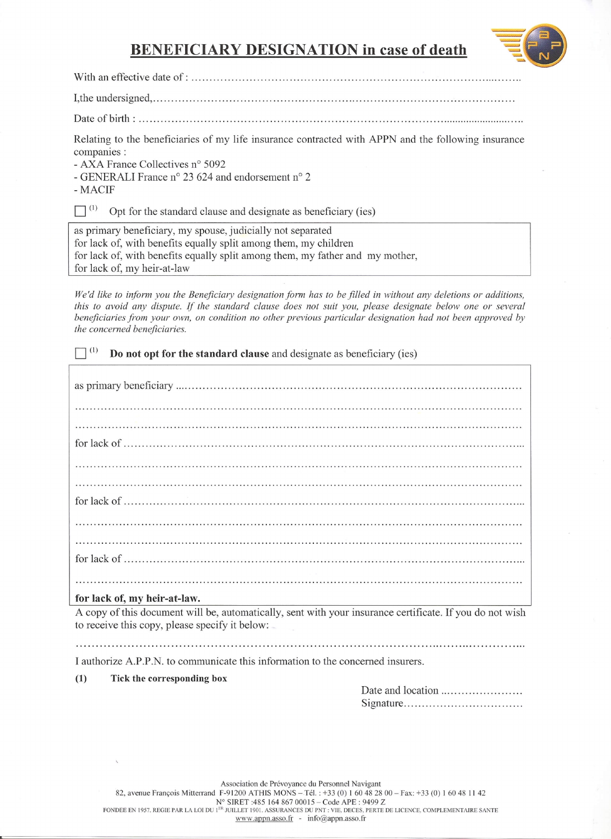## **BENEFICIARY DESIGNATION in case of death**



**With an** effective date of: .

I,the undersigned, . Date of **birth: .**

Relating to the beneficiaries of my life insurance contracted with APPN and the following insurance companies :

- AXA France Collectives n° 5092

- GENERALI France n° 23 624 and endorsement n° 2

-MACIF

 $\Box^{(1)}$  Opt for the standard clause and designate as beneficiary (ies)

as primary beneficiary, my spouse, judicially not separated for lack of, with benefits equally split among them, my children for lack of, with benefits equally split among them, my father and my mother, for lack of, my heir-at-law

We'd like to inform you the Beneficiary designation form has to be filled in without any deletions or additions, this to avoid any dispute. If the standard clause does not suit you, please designate below one or several *beneficiaries from your own, on condition no other previous particular designation had not been approved by the concerned beneficiaries.*

 $\Box$ <sup>(1)</sup> Do not opt for the standard clause and designate as beneficiary (ies)

as primary beneficiary . for lack of . for lack of . for lack of . 

#### **for lack of, my heir-at-Iaw.**

A copy of this document will be, automatically, sent with your insurance certificate. If you do not wish to receive this copy, please specify it below:

I authorize A.P.P.N. to communicate this information to the concerned insurers.

#### **(1) Tick the corresponding box**

Date and location . Signature .

Association de Prevoyance du Personnel Navigant 82, avenue François Mitterrand F-91200 ATHIS MONS - Tél. : +33 (0) 1 60 48 28 00 - Fax: +33 (0) 1 60 48 11 42 N° SIRET :485 164 867 00015 – Code APE : 9499 Z<br>fondee en 1957, regie par la loi du 1<sup>er</sup> juillet 1901. assurances du pnt : vie, deces, perte de licence, complementaire sant www.appn.asso.fr - info@appn.asso.fr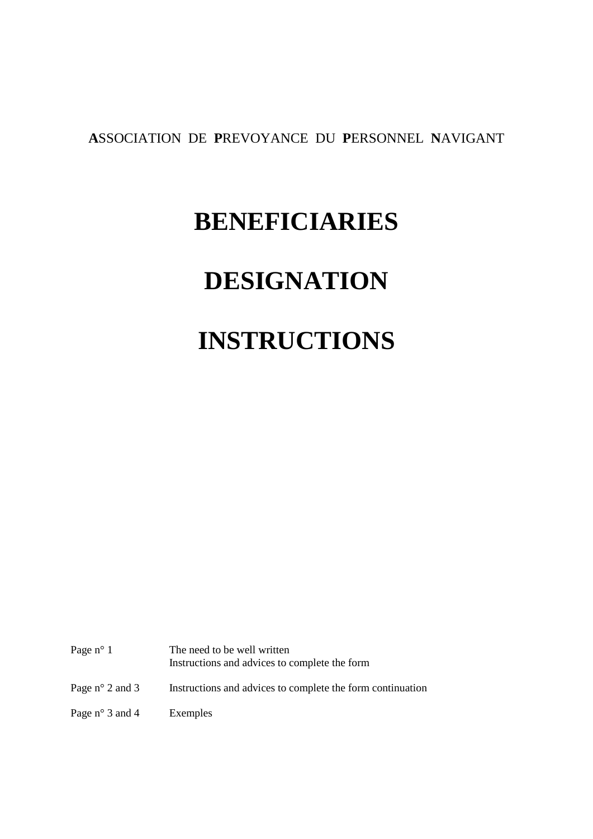**A**SSOCIATION DE **P**REVOYANCE DU **P**ERSONNEL **N**AVIGANT

# **BENEFICIARIES**

# **DESIGNATION**

# **INSTRUCTIONS**

| Page $n^{\circ}$ 1       | The need to be well written<br>Instructions and advices to complete the form |
|--------------------------|------------------------------------------------------------------------------|
| Page $n^{\circ}$ 2 and 3 | Instructions and advices to complete the form continuation                   |
| Page $n^{\circ}$ 3 and 4 | Exemples                                                                     |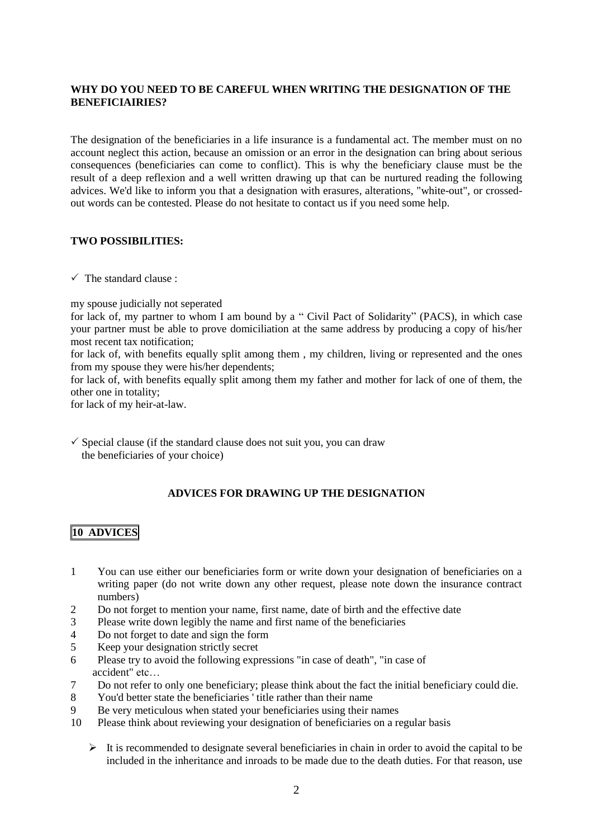### **WHY DO YOU NEED TO BE CAREFUL WHEN WRITING THE DESIGNATION OF THE BENEFICIAIRIES?**

The designation of the beneficiaries in a life insurance is a fundamental act. The member must on no account neglect this action, because an omission or an error in the designation can bring about serious consequences (beneficiaries can come to conflict). This is why the beneficiary clause must be the result of a deep reflexion and a well written drawing up that can be nurtured reading the following advices. We'd like to inform you that a designation with erasures, alterations, "white-out", or crossedout words can be contested. Please do not hesitate to contact us if you need some help.

#### **TWO POSSIBILITIES:**

 $\checkmark$  The standard clause :

my spouse judicially not seperated

for lack of, my partner to whom I am bound by a " Civil Pact of Solidarity" (PACS), in which case your partner must be able to prove domiciliation at the same address by producing a copy of his/her most recent tax notification;

for lack of, with benefits equally split among them , my children, living or represented and the ones from my spouse they were his/her dependents;

for lack of, with benefits equally split among them my father and mother for lack of one of them, the other one in totality;

for lack of my heir-at-law.

 $\checkmark$  Special clause (if the standard clause does not suit you, you can draw the beneficiaries of your choice)

### **ADVICES FOR DRAWING UP THE DESIGNATION**

### **10 ADVICES**

- 1 You can use either our beneficiaries form or write down your designation of beneficiaries on a writing paper (do not write down any other request, please note down the insurance contract numbers)
- 2 Do not forget to mention your name, first name, date of birth and the effective date
- 3 Please write down legibly the name and first name of the beneficiaries
- 4 Do not forget to date and sign the form
- 5 Keep your designation strictly secret
- 6 Please try to avoid the following expressions "in case of death", "in case of accident" etc…
- 7 Do not refer to only one beneficiary; please think about the fact the initial beneficiary could die.
- 8 You'd better state the beneficiaries ' title rather than their name
- 9 Be very meticulous when stated your beneficiaries using their names
- 10 Please think about reviewing your designation of beneficiaries on a regular basis
	- $\triangleright$  It is recommended to designate several beneficiaries in chain in order to avoid the capital to be included in the inheritance and inroads to be made due to the death duties. For that reason, use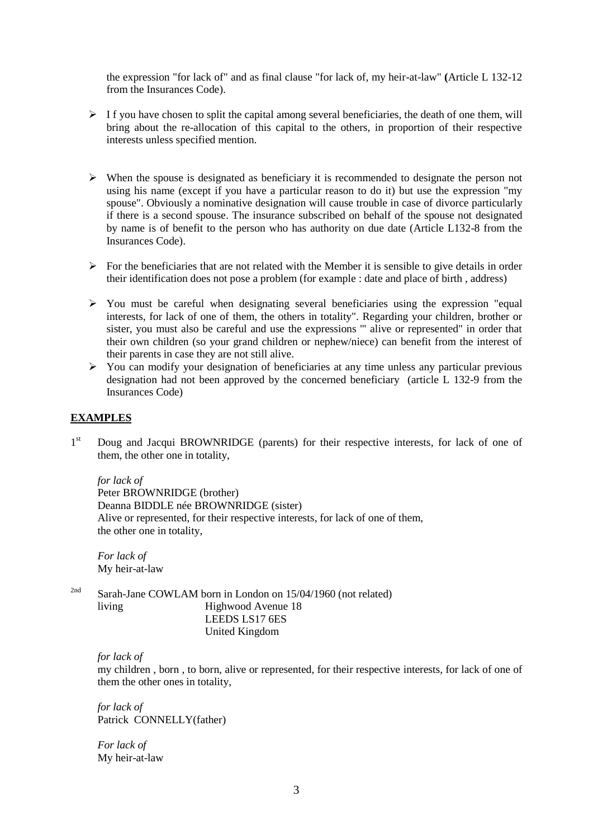the expression "for lack of" and as final clause "for lack of, my heir-at-law" **(**Article L 132-12 from the Insurances Code).

- $\triangleright$  If you have chosen to split the capital among several beneficiaries, the death of one them, will bring about the re-allocation of this capital to the others, in proportion of their respective interests unless specified mention.
- $\triangleright$  When the spouse is designated as beneficiary it is recommended to designate the person not using his name (except if you have a particular reason to do it) but use the expression "my spouse". Obviously a nominative designation will cause trouble in case of divorce particularly if there is a second spouse. The insurance subscribed on behalf of the spouse not designated by name is of benefit to the person who has authority on due date (Article L132-8 from the Insurances Code).
- $\triangleright$  For the beneficiaries that are not related with the Member it is sensible to give details in order their identification does not pose a problem (for example : date and place of birth , address)
- $\triangleright$  You must be careful when designating several beneficiaries using the expression "equal interests, for lack of one of them, the others in totality". Regarding your children, brother or sister, you must also be careful and use the expressions '" alive or represented" in order that their own children (so your grand children or nephew/niece) can benefit from the interest of their parents in case they are not still alive.
- $\triangleright$  You can modify your designation of beneficiaries at any time unless any particular previous designation had not been approved by the concerned beneficiary (article L 132-9 from the Insurances Code)

#### **EXAMPLES**

 $1<sup>st</sup>$ Doug and Jacqui BROWNRIDGE (parents) for their respective interests, for lack of one of them, the other one in totality,

#### *for lack of*

Peter BROWNRIDGE (brother) Deanna BIDDLE née BROWNRIDGE (sister) Alive or represented, for their respective interests, for lack of one of them, the other one in totality,

*For lack of* My heir-at-law

<sup>2nd</sup> Sarah-Jane COWLAM born in London on 15/04/1960 (not related) living Highwood Avenue 18 LEEDS LS17 6ES United Kingdom

*for lack of*

my children , born , to born, alive or represented, for their respective interests, for lack of one of them the other ones in totality,

*for lack of*  Patrick CONNELLY(father)

*For lack of*  My heir-at-law